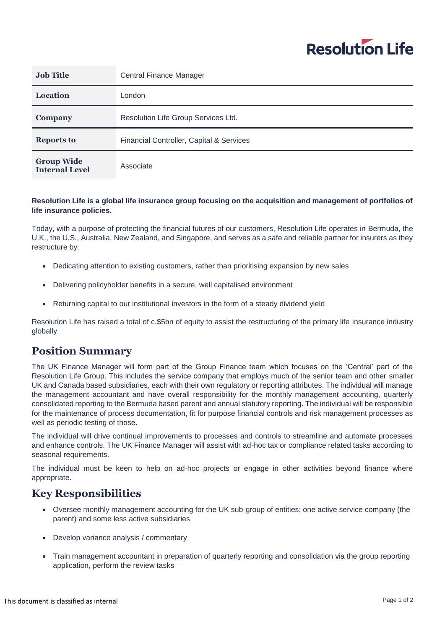

| <b>Job Title</b>                           | <b>Central Finance Manager</b>           |
|--------------------------------------------|------------------------------------------|
| <b>Location</b>                            | London                                   |
| Company                                    | Resolution Life Group Services Ltd.      |
| <b>Reports to</b>                          | Financial Controller, Capital & Services |
| <b>Group Wide</b><br><b>Internal Level</b> | Associate                                |

## **Resolution Life is a global life insurance group focusing on the acquisition and management of portfolios of life insurance policies.**

Today, with a purpose of protecting the financial futures of our customers, Resolution Life operates in Bermuda, the U.K., the U.S., Australia, New Zealand, and Singapore, and serves as a safe and reliable partner for insurers as they restructure by:

- Dedicating attention to existing customers, rather than prioritising expansion by new sales
- Delivering policyholder benefits in a secure, well capitalised environment
- Returning capital to our institutional investors in the form of a steady dividend yield

Resolution Life has raised a total of c.\$5bn of equity to assist the restructuring of the primary life insurance industry globally.

## **Position Summary**

The UK Finance Manager will form part of the Group Finance team which focuses on the 'Central' part of the Resolution Life Group. This includes the service company that employs much of the senior team and other smaller UK and Canada based subsidiaries, each with their own regulatory or reporting attributes. The individual will manage the management accountant and have overall responsibility for the monthly management accounting, quarterly consolidated reporting to the Bermuda based parent and annual statutory reporting. The individual will be responsible for the maintenance of process documentation, fit for purpose financial controls and risk management processes as well as periodic testing of those.

The individual will drive continual improvements to processes and controls to streamline and automate processes and enhance controls. The UK Finance Manager will assist with ad-hoc tax or compliance related tasks according to seasonal requirements.

The individual must be keen to help on ad-hoc projects or engage in other activities beyond finance where appropriate.

## **Key Responsibilities**

- Oversee monthly management accounting for the UK sub-group of entities: one active service company (the parent) and some less active subsidiaries
- Develop variance analysis / commentary
- Train management accountant in preparation of quarterly reporting and consolidation via the group reporting application, perform the review tasks